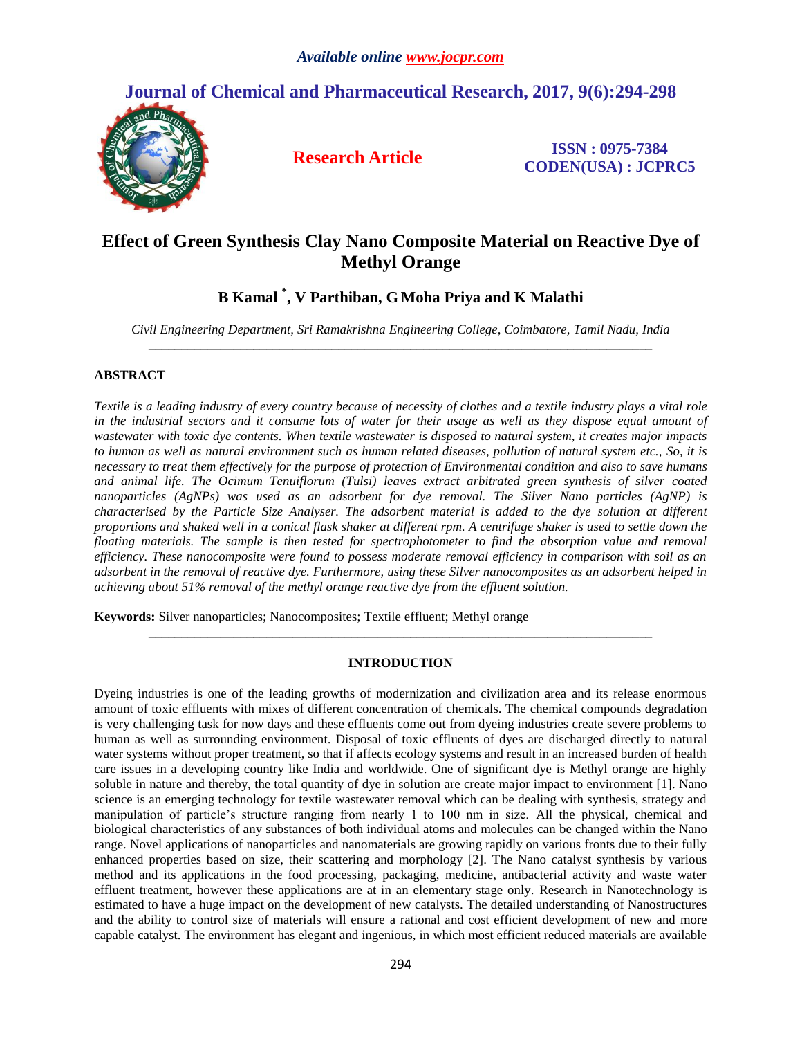# **Journal of Chemical and Pharmaceutical Research, 2017, 9(6):294-298**



**Research Article ISSN : 0975-7384 CODEN(USA) : JCPRC5**

# **Effect of Green Synthesis Clay Nano Composite Material on Reactive Dye of Methyl Orange**

## **B Kamal \* , V Parthiban, G Moha Priya and K Malathi**

*Civil Engineering Department, Sri Ramakrishna Engineering College, Coimbatore, Tamil Nadu, India \_\_\_\_\_\_\_\_\_\_\_\_\_\_\_\_\_\_\_\_\_\_\_\_\_\_\_\_\_\_\_\_\_\_\_\_\_\_\_\_\_\_\_\_\_\_\_\_\_\_\_\_\_\_\_\_\_\_\_\_\_\_\_\_\_\_\_\_\_\_\_\_\_\_\_\_\_*

## **ABSTRACT**

*Textile is a leading industry of every country because of necessity of clothes and a textile industry plays a vital role in the industrial sectors and it consume lots of water for their usage as well as they dispose equal amount of wastewater with toxic dye contents. When textile wastewater is disposed to natural system, it creates major impacts to human as well as natural environment such as human related diseases, pollution of natural system etc., So, it is necessary to treat them effectively for the purpose of protection of Environmental condition and also to save humans and animal life. The Ocimum Tenuiflorum (Tulsi) leaves extract arbitrated green synthesis of silver coated nanoparticles (AgNPs) was used as an adsorbent for dye removal. The Silver Nano particles (AgNP) is characterised by the Particle Size Analyser. The adsorbent material is added to the dye solution at different proportions and shaked well in a conical flask shaker at different rpm. A centrifuge shaker is used to settle down the floating materials. The sample is then tested for spectrophotometer to find the absorption value and removal efficiency. These nanocomposite were found to possess moderate removal efficiency in comparison with soil as an adsorbent in the removal of reactive dye. Furthermore, using these Silver nanocomposites as an adsorbent helped in achieving about 51% removal of the methyl orange reactive dye from the effluent solution.*

**Keywords:** Silver nanoparticles; Nanocomposites; Textile effluent; Methyl orange

### **INTRODUCTION**

*\_\_\_\_\_\_\_\_\_\_\_\_\_\_\_\_\_\_\_\_\_\_\_\_\_\_\_\_\_\_\_\_\_\_\_\_\_\_\_\_\_\_\_\_\_\_\_\_\_\_\_\_\_\_\_\_\_\_\_\_\_\_\_\_\_\_\_\_\_\_\_\_\_\_\_\_\_*

Dyeing industries is one of the leading growths of modernization and civilization area and its release enormous amount of toxic effluents with mixes of different concentration of chemicals. The chemical compounds degradation is very challenging task for now days and these effluents come out from dyeing industries create severe problems to human as well as surrounding environment. Disposal of toxic effluents of dyes are discharged directly to natural water systems without proper treatment, so that if affects ecology systems and result in an increased burden of health care issues in a developing country like India and worldwide. One of significant dye is Methyl orange are highly soluble in nature and thereby, the total quantity of dye in solution are create major impact to environment [1]. Nano science is an emerging technology for textile wastewater removal which can be dealing with synthesis, strategy and manipulation of particle's structure ranging from nearly 1 to 100 nm in size. All the physical, chemical and biological characteristics of any substances of both individual atoms and molecules can be changed within the Nano range. Novel applications of nanoparticles and nanomaterials are growing rapidly on various fronts due to their fully enhanced properties based on size, their scattering and morphology [2]. The Nano catalyst synthesis by various method and its applications in the food processing, packaging, medicine, antibacterial activity and waste water effluent treatment, however these applications are at in an elementary stage only. Research in Nanotechnology is estimated to have a huge impact on the development of new catalysts. The detailed understanding of Nanostructures and the ability to control size of materials will ensure a rational and cost efficient development of new and more capable catalyst. The environment has elegant and ingenious, in which most efficient reduced materials are available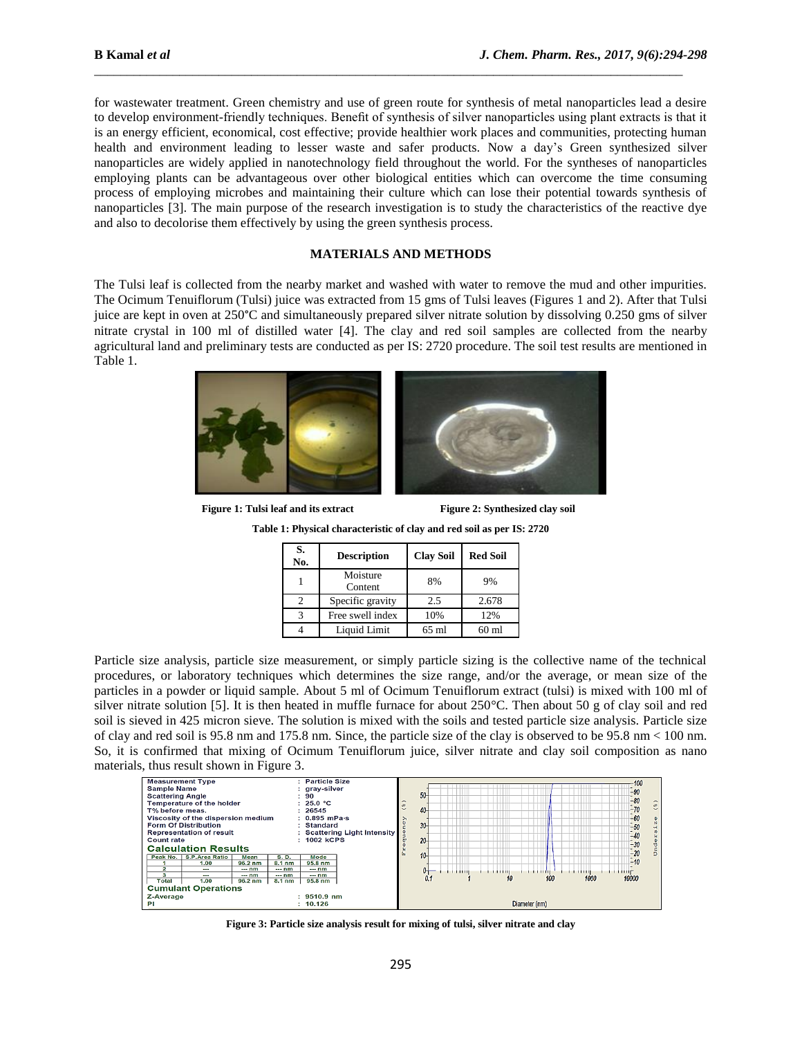for wastewater treatment. Green chemistry and use of green route for synthesis of metal nanoparticles lead a desire to develop environment-friendly techniques. Benefit of synthesis of silver nanoparticles using plant extracts is that it is an energy efficient, economical, cost effective; provide healthier work places and communities, protecting human health and environment leading to lesser waste and safer products. Now a day's Green synthesized silver nanoparticles are widely applied in nanotechnology field throughout the world. For the syntheses of nanoparticles employing plants can be advantageous over other biological entities which can overcome the time consuming process of employing microbes and maintaining their culture which can lose their potential towards synthesis of nanoparticles [3]. The main purpose of the research investigation is to study the characteristics of the reactive dye and also to decolorise them effectively by using the green synthesis process.

\_\_\_\_\_\_\_\_\_\_\_\_\_\_\_\_\_\_\_\_\_\_\_\_\_\_\_\_\_\_\_\_\_\_\_\_\_\_\_\_\_\_\_\_\_\_\_\_\_\_\_\_\_\_\_\_\_\_\_\_\_\_\_\_\_\_\_\_\_\_\_\_\_\_\_\_\_\_\_\_\_\_\_\_\_\_\_\_\_\_

### **MATERIALS AND METHODS**

The Tulsi leaf is collected from the nearby market and washed with water to remove the mud and other impurities. The Ocimum Tenuiflorum (Tulsi) juice was extracted from 15 gms of Tulsi leaves (Figures 1 and 2). After that Tulsi juice are kept in oven at 250°C and simultaneously prepared silver nitrate solution by dissolving 0.250 gms of silver nitrate crystal in 100 ml of distilled water [4]. The clay and red soil samples are collected from the nearby agricultural land and preliminary tests are conducted as per IS: 2720 procedure. The soil test results are mentioned in Table 1.



**Figure** 1: Tulsi leaf and its extract Figure 2: Synthesized clay soil

| S.<br>No. | <b>Description</b>  | <b>Clay Soil</b> | <b>Red Soil</b> |
|-----------|---------------------|------------------|-----------------|
|           | Moisture<br>Content | 8%               | 9%              |
|           | Specific gravity    | 2.5              | 2.678           |
| 3         | Free swell index    | 10%              | 12%             |
|           | Liquid Limit        | $65 \text{ ml}$  | $60 \text{ ml}$ |

**Table 1: Physical characteristic of clay and red soil as per IS: 2720**

Particle size analysis, particle size measurement, or simply particle sizing is the collective name of the technical procedures, or laboratory techniques which determines the size range, and/or the average, or mean size of the particles in a powder or liquid sample. About 5 ml of Ocimum Tenuiflorum extract (tulsi) is mixed with 100 ml of silver nitrate solution [5]. It is then heated in muffle furnace for about 250°C. Then about 50 g of clay soil and red soil is sieved in 425 micron sieve. The solution is mixed with the soils and tested particle size analysis. Particle size of clay and red soil is 95.8 nm and 175.8 nm. Since, the particle size of the clay is observed to be 95.8 nm < 100 nm. So, it is confirmed that mixing of Ocimum Tenuiflorum juice, silver nitrate and clay soil composition as nano



**Figure 3: Particle size analysis result for mixing of tulsi, silver nitrate and clay**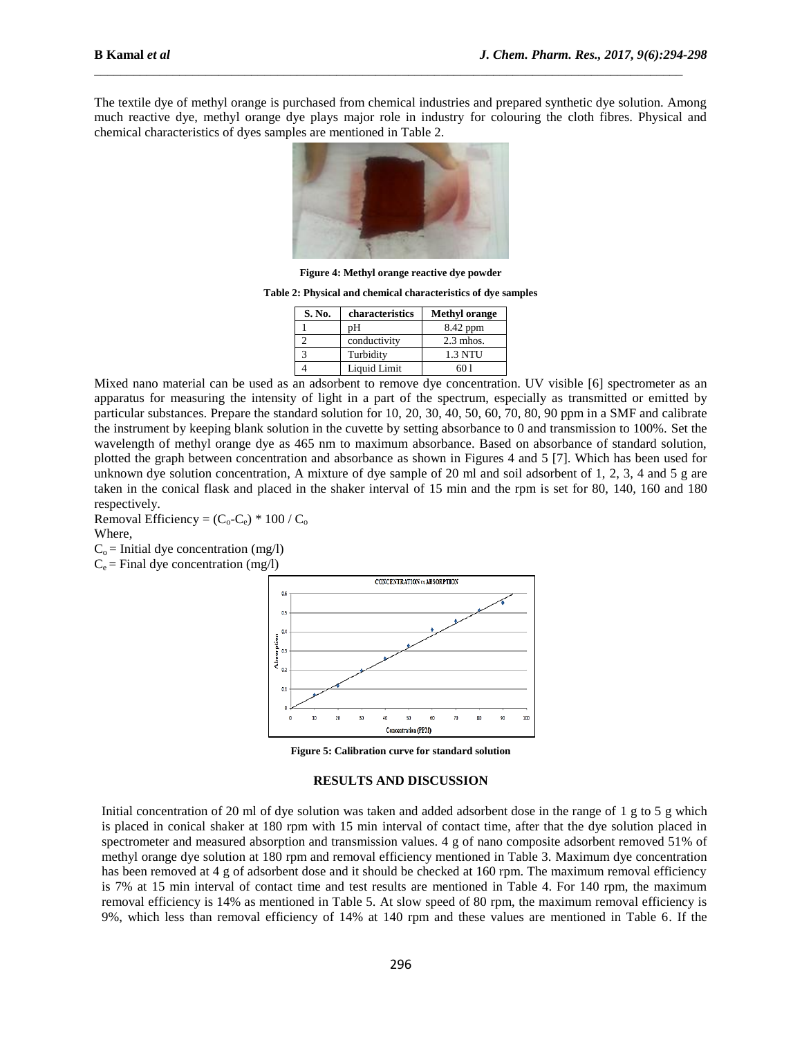The textile dye of methyl orange is purchased from chemical industries and prepared synthetic dye solution. Among much reactive dye, methyl orange dye plays major role in industry for colouring the cloth fibres. Physical and chemical characteristics of dyes samples are mentioned in Table 2.

\_\_\_\_\_\_\_\_\_\_\_\_\_\_\_\_\_\_\_\_\_\_\_\_\_\_\_\_\_\_\_\_\_\_\_\_\_\_\_\_\_\_\_\_\_\_\_\_\_\_\_\_\_\_\_\_\_\_\_\_\_\_\_\_\_\_\_\_\_\_\_\_\_\_\_\_\_\_\_\_\_\_\_\_\_\_\_\_\_\_



**Figure 4: Methyl orange reactive dye powder**

**Table 2: Physical and chemical characteristics of dye samples**

| S. No. | characteristics | <b>Methyl orange</b> |
|--------|-----------------|----------------------|
|        | pН              | 8.42 ppm             |
|        | conductivity    | $2.3$ mhos.          |
|        | Turbidity       | <b>1.3 NTU</b>       |
|        | Liquid Limit    | 6በ 1                 |

Mixed nano material can be used as an adsorbent to remove dye concentration. UV visible [6] spectrometer as an apparatus for measuring the intensity of light in a part of the spectrum, especially as transmitted or emitted by particular substances. Prepare the standard solution for 10, 20, 30, 40, 50, 60, 70, 80, 90 ppm in a SMF and calibrate the instrument by keeping blank solution in the cuvette by setting absorbance to 0 and transmission to 100%. Set the wavelength of methyl orange dye as 465 nm to maximum absorbance. Based on absorbance of standard solution, plotted the graph between concentration and absorbance as shown in Figures 4 and 5 [7]. Which has been used for unknown dye solution concentration, A mixture of dye sample of 20 ml and soil adsorbent of 1, 2, 3, 4 and 5 g are taken in the conical flask and placed in the shaker interval of 15 min and the rpm is set for 80, 140, 160 and 180 respectively.

Removal Efficiency =  $(C_0 - C_e) * 100 / C_o$ Where,  $C_0$  = Initial dye concentration (mg/l)

 $C_e$  = Final dye concentration (mg/l)



**Figure 5: Calibration curve for standard solution** 

#### **RESULTS AND DISCUSSION**

Initial concentration of 20 ml of dye solution was taken and added adsorbent dose in the range of 1 g to 5 g which is placed in conical shaker at 180 rpm with 15 min interval of contact time, after that the dye solution placed in spectrometer and measured absorption and transmission values. 4 g of nano composite adsorbent removed 51% of methyl orange dye solution at 180 rpm and removal efficiency mentioned in Table 3. Maximum dye concentration has been removed at 4 g of adsorbent dose and it should be checked at 160 rpm. The maximum removal efficiency is 7% at 15 min interval of contact time and test results are mentioned in Table 4. For 140 rpm, the maximum removal efficiency is 14% as mentioned in Table 5. At slow speed of 80 rpm, the maximum removal efficiency is 9%, which less than removal efficiency of 14% at 140 rpm and these values are mentioned in Table 6. If the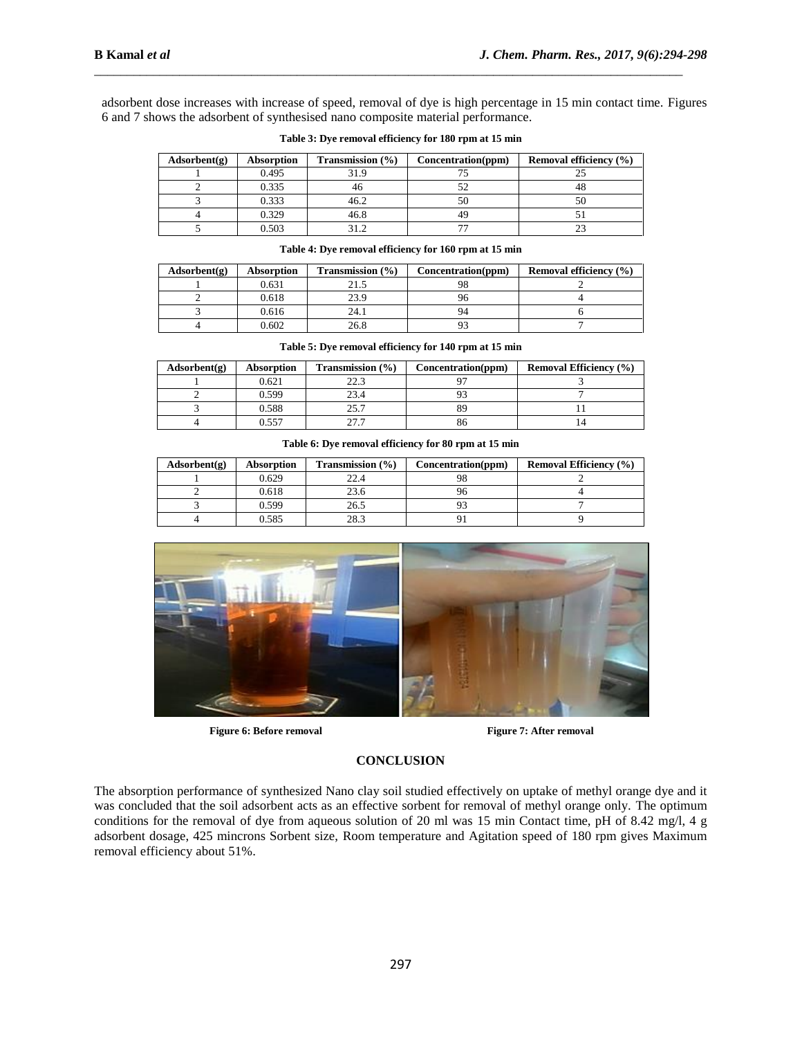adsorbent dose increases with increase of speed, removal of dye is high percentage in 15 min contact time. Figures 6 and 7 shows the adsorbent of synthesised nano composite material performance.

\_\_\_\_\_\_\_\_\_\_\_\_\_\_\_\_\_\_\_\_\_\_\_\_\_\_\_\_\_\_\_\_\_\_\_\_\_\_\_\_\_\_\_\_\_\_\_\_\_\_\_\_\_\_\_\_\_\_\_\_\_\_\_\_\_\_\_\_\_\_\_\_\_\_\_\_\_\_\_\_\_\_\_\_\_\_\_\_\_\_

| Adsorbent(g) | Absorption | Transmission $(\% )$ | Concentration(ppm) | Removal efficiency $(\% )$ |
|--------------|------------|----------------------|--------------------|----------------------------|
|              | 0.495      | 31.9                 |                    |                            |
|              | 0.335      | 40                   |                    | 40                         |
|              | 0.333      | 46.2                 | 50                 | 50                         |
|              | 0.329      | 46.8                 |                    |                            |
|              | 0.503      | 212                  |                    |                            |

| Table 3: Dye removal efficiency for 180 rpm at 15 min |  |  |
|-------------------------------------------------------|--|--|
|-------------------------------------------------------|--|--|

| Adsorbent(g) | Absorption | Transmission $(\% )$ | Concentration(ppm) | <b>Removal efficiency</b> (%) |
|--------------|------------|----------------------|--------------------|-------------------------------|
|              | 0.631      |                      | 98                 |                               |
|              | 0.618      | 23.9                 |                    |                               |
|              | 0.616      | 24.1                 | 94                 |                               |
|              | 0.602      | 26.8                 |                    |                               |

| Adsorbent(g) | <b>Absorption</b> | <b>Transmission</b> $(\%)$ | Concentration(ppm) | <b>Removal Efficiency</b> (%) |
|--------------|-------------------|----------------------------|--------------------|-------------------------------|
|              | 0.621             | 22.3                       |                    |                               |
|              | 0.599             | 23.4                       |                    |                               |
|              | 0.588             | 25.7                       | 89                 |                               |
|              | ).557             |                            | 86                 |                               |

#### **Table 5: Dye removal efficiency for 140 rpm at 15 min**

|  |  | Table 6: Dye removal efficiency for 80 rpm at 15 min |
|--|--|------------------------------------------------------|
|  |  |                                                      |

| Adsorbent(g) | <b>Absorption</b> | <b>Transmission</b> $(\% )$ | Concentration(ppm) | <b>Removal Efficiency</b> (%) |
|--------------|-------------------|-----------------------------|--------------------|-------------------------------|
|              | 0.629             | 22.1                        |                    |                               |
|              | 0.618             | 23.6                        |                    |                               |
|              | 0.599             | 26.5                        |                    |                               |
|              | 0.585             | 28.3                        |                    |                               |



**Figure 6:** Before removal **Figure 7:** After removal

#### **CONCLUSION**

The absorption performance of synthesized Nano clay soil studied effectively on uptake of methyl orange dye and it was concluded that the soil adsorbent acts as an effective sorbent for removal of methyl orange only. The optimum conditions for the removal of dye from aqueous solution of 20 ml was 15 min Contact time, pH of 8.42 mg/l, 4 g adsorbent dosage, 425 mincrons Sorbent size, Room temperature and Agitation speed of 180 rpm gives Maximum removal efficiency about 51%.